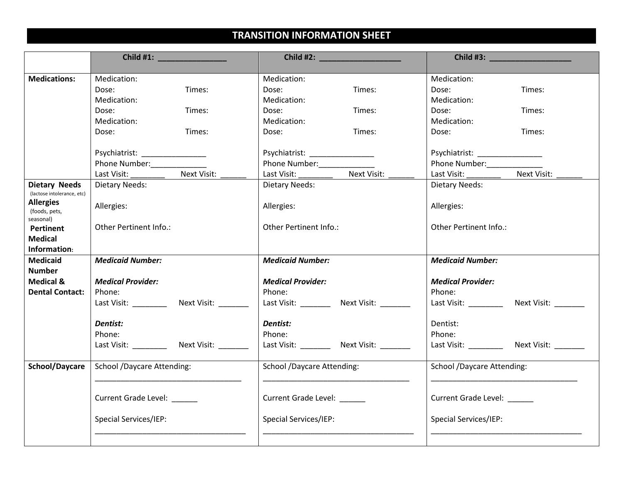## **TRANSITION INFORMATION SHEET**

|                                                | Child #1: <u>_______________________</u>               |                                              | Child #3:                                      |
|------------------------------------------------|--------------------------------------------------------|----------------------------------------------|------------------------------------------------|
| <b>Medications:</b>                            | Medication:                                            | Medication:                                  | Medication:                                    |
|                                                | Times:<br>Dose:                                        | Times:<br>Dose:                              | Dose:<br>Times:                                |
|                                                | Medication:                                            | Medication:                                  | Medication:                                    |
|                                                | Dose:<br>Times:                                        | Times:<br>Dose:                              | Dose:<br>Times:                                |
|                                                | Medication:                                            | Medication:                                  | Medication:                                    |
|                                                | Times:<br>Dose:                                        | Times:<br>Dose:                              | Times:<br>Dose:                                |
|                                                |                                                        |                                              |                                                |
|                                                | Psychiatrist: ____________________                     | Psychiatrist: __________________             | Psychiatrist: _________________                |
|                                                | Phone Number:                                          | Phone Number:                                | Phone Number:                                  |
|                                                | Next Visit:<br>Last Visit:<br>$\overline{\phantom{a}}$ | Next Visit:<br>Last Visit: __________        | Next Visit:<br>Last Visit: _________           |
| <b>Dietary Needs</b>                           | Dietary Needs:                                         | Dietary Needs:                               | Dietary Needs:                                 |
| (lactose intolerance, etc)<br><b>Allergies</b> |                                                        |                                              |                                                |
| (foods, pets,                                  | Allergies:                                             | Allergies:                                   | Allergies:                                     |
| seasonal)                                      |                                                        |                                              |                                                |
| Pertinent                                      | Other Pertinent Info.:                                 | <b>Other Pertinent Info.:</b>                | Other Pertinent Info.:                         |
| <b>Medical</b>                                 |                                                        |                                              |                                                |
| Information:                                   |                                                        |                                              |                                                |
| <b>Medicaid</b><br><b>Number</b>               | <b>Medicaid Number:</b>                                | <b>Medicaid Number:</b>                      | <b>Medicaid Number:</b>                        |
| <b>Medical &amp;</b>                           | <b>Medical Provider:</b>                               | <b>Medical Provider:</b>                     | <b>Medical Provider:</b>                       |
| <b>Dental Contact:</b>                         | Phone:                                                 | Phone:                                       | Phone:                                         |
|                                                | Last Visit: ____________ Next Visit: ________          | Last Visit: ___________ Next Visit: ________ | Last Visit: _____________ Next Visit: ________ |
|                                                |                                                        |                                              |                                                |
|                                                | Dentist:                                               | Dentist:                                     | Dentist:                                       |
|                                                | Phone:                                                 | Phone:                                       | Phone:                                         |
|                                                |                                                        | Last Visit: __________ Next Visit: ________  | Last Visit: _____________ Next Visit: ________ |
| School/Daycare                                 | <b>School /Daycare Attending:</b>                      | School /Daycare Attending:                   | <b>School /Daycare Attending:</b>              |
|                                                |                                                        |                                              |                                                |
|                                                | <b>Current Grade Level:</b>                            | <b>Current Grade Level:</b>                  | Current Grade Level: ______                    |
|                                                | <b>Special Services/IEP:</b>                           | <b>Special Services/IEP:</b>                 | <b>Special Services/IEP:</b>                   |
|                                                |                                                        |                                              |                                                |